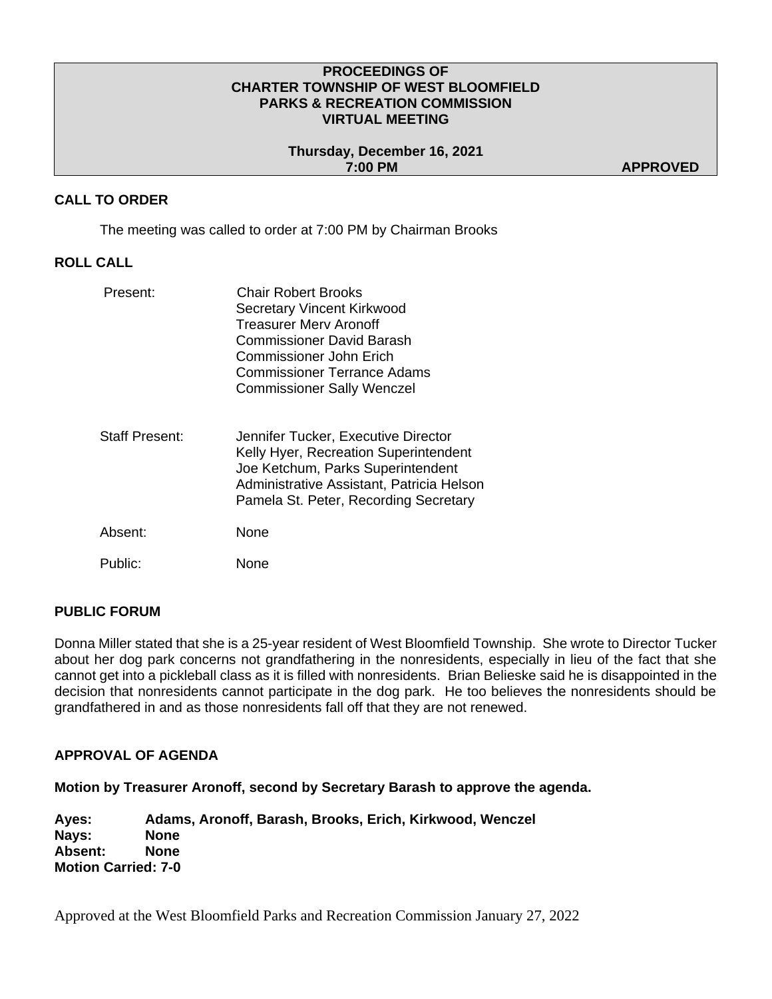#### **PROCEEDINGS OF CHARTER TOWNSHIP OF WEST BLOOMFIELD PARKS & RECREATION COMMISSION VIRTUAL MEETING**

**Thursday, December 16, 2021 7:00 PM APPROVED** 

### **CALL TO ORDER**

The meeting was called to order at 7:00 PM by Chairman Brooks

## **ROLL CALL**

| Present:       | <b>Chair Robert Brooks</b><br>Secretary Vincent Kirkwood<br><b>Treasurer Merv Aronoff</b><br>Commissioner David Barash<br><b>Commissioner John Erich</b><br><b>Commissioner Terrance Adams</b><br><b>Commissioner Sally Wenczel</b> |
|----------------|-------------------------------------------------------------------------------------------------------------------------------------------------------------------------------------------------------------------------------------|
| Staff Present: | Jennifer Tucker, Executive Director<br>Kelly Hyer, Recreation Superintendent<br>Joe Ketchum, Parks Superintendent<br>Administrative Assistant, Patricia Helson<br>Pamela St. Peter, Recording Secretary                             |
| Absent:        | None                                                                                                                                                                                                                                |
| Public:        | None                                                                                                                                                                                                                                |

### **PUBLIC FORUM**

Donna Miller stated that she is a 25-year resident of West Bloomfield Township. She wrote to Director Tucker about her dog park concerns not grandfathering in the nonresidents, especially in lieu of the fact that she cannot get into a pickleball class as it is filled with nonresidents. Brian Belieske said he is disappointed in the decision that nonresidents cannot participate in the dog park. He too believes the nonresidents should be grandfathered in and as those nonresidents fall off that they are not renewed.

#### **APPROVAL OF AGENDA**

**Motion by Treasurer Aronoff, second by Secretary Barash to approve the agenda.** 

**Ayes: Adams, Aronoff, Barash, Brooks, Erich, Kirkwood, Wenczel Nays: None Absent: None Motion Carried: 7-0**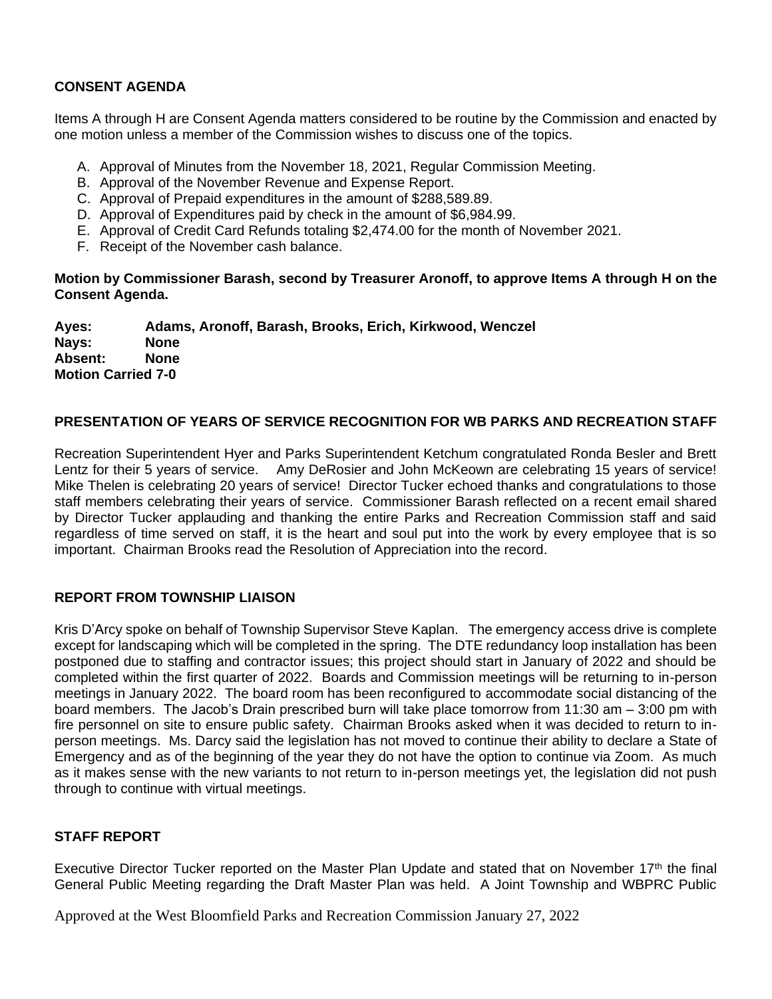# **CONSENT AGENDA**

Items A through H are Consent Agenda matters considered to be routine by the Commission and enacted by one motion unless a member of the Commission wishes to discuss one of the topics.

- A. Approval of Minutes from the November 18, 2021, Regular Commission Meeting.
- B. Approval of the November Revenue and Expense Report.
- C. Approval of Prepaid expenditures in the amount of \$288,589.89.
- D. Approval of Expenditures paid by check in the amount of \$6,984.99.
- E. Approval of Credit Card Refunds totaling \$2,474.00 for the month of November 2021.
- F. Receipt of the November cash balance.

**Motion by Commissioner Barash, second by Treasurer Aronoff, to approve Items A through H on the Consent Agenda.**

**Ayes: Adams, Aronoff, Barash, Brooks, Erich, Kirkwood, Wenczel Nays: None Absent: None Motion Carried 7-0**

# **PRESENTATION OF YEARS OF SERVICE RECOGNITION FOR WB PARKS AND RECREATION STAFF**

Recreation Superintendent Hyer and Parks Superintendent Ketchum congratulated Ronda Besler and Brett Lentz for their 5 years of service. Amy DeRosier and John McKeown are celebrating 15 years of service! Mike Thelen is celebrating 20 years of service! Director Tucker echoed thanks and congratulations to those staff members celebrating their years of service. Commissioner Barash reflected on a recent email shared by Director Tucker applauding and thanking the entire Parks and Recreation Commission staff and said regardless of time served on staff, it is the heart and soul put into the work by every employee that is so important. Chairman Brooks read the Resolution of Appreciation into the record.

# **REPORT FROM TOWNSHIP LIAISON**

Kris D'Arcy spoke on behalf of Township Supervisor Steve Kaplan. The emergency access drive is complete except for landscaping which will be completed in the spring. The DTE redundancy loop installation has been postponed due to staffing and contractor issues; this project should start in January of 2022 and should be completed within the first quarter of 2022. Boards and Commission meetings will be returning to in-person meetings in January 2022. The board room has been reconfigured to accommodate social distancing of the board members. The Jacob's Drain prescribed burn will take place tomorrow from 11:30 am – 3:00 pm with fire personnel on site to ensure public safety. Chairman Brooks asked when it was decided to return to inperson meetings. Ms. Darcy said the legislation has not moved to continue their ability to declare a State of Emergency and as of the beginning of the year they do not have the option to continue via Zoom. As much as it makes sense with the new variants to not return to in-person meetings yet, the legislation did not push through to continue with virtual meetings.

# **STAFF REPORT**

Executive Director Tucker reported on the Master Plan Update and stated that on November 17<sup>th</sup> the final General Public Meeting regarding the Draft Master Plan was held. A Joint Township and WBPRC Public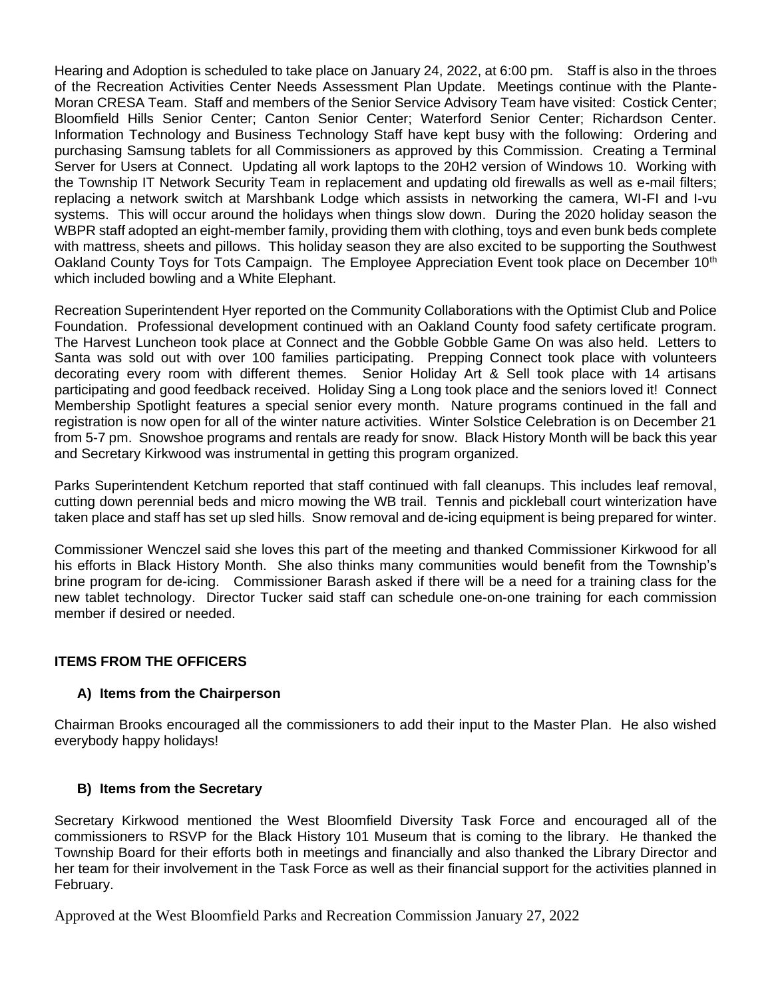Hearing and Adoption is scheduled to take place on January 24, 2022, at 6:00 pm. Staff is also in the throes of the Recreation Activities Center Needs Assessment Plan Update. Meetings continue with the Plante-Moran CRESA Team. Staff and members of the Senior Service Advisory Team have visited: Costick Center; Bloomfield Hills Senior Center; Canton Senior Center; Waterford Senior Center; Richardson Center. Information Technology and Business Technology Staff have kept busy with the following: Ordering and purchasing Samsung tablets for all Commissioners as approved by this Commission. Creating a Terminal Server for Users at Connect. Updating all work laptops to the 20H2 version of Windows 10. Working with the Township IT Network Security Team in replacement and updating old firewalls as well as e-mail filters; replacing a network switch at Marshbank Lodge which assists in networking the camera, WI-FI and I-vu systems. This will occur around the holidays when things slow down. During the 2020 holiday season the WBPR staff adopted an eight-member family, providing them with clothing, toys and even bunk beds complete with mattress, sheets and pillows. This holiday season they are also excited to be supporting the Southwest Oakland County Toys for Tots Campaign. The Employee Appreciation Event took place on December 10<sup>th</sup> which included bowling and a White Elephant.

Recreation Superintendent Hyer reported on the Community Collaborations with the Optimist Club and Police Foundation. Professional development continued with an Oakland County food safety certificate program. The Harvest Luncheon took place at Connect and the Gobble Gobble Game On was also held. Letters to Santa was sold out with over 100 families participating. Prepping Connect took place with volunteers decorating every room with different themes. Senior Holiday Art & Sell took place with 14 artisans participating and good feedback received. Holiday Sing a Long took place and the seniors loved it! Connect Membership Spotlight features a special senior every month. Nature programs continued in the fall and registration is now open for all of the winter nature activities. Winter Solstice Celebration is on December 21 from 5-7 pm. Snowshoe programs and rentals are ready for snow. Black History Month will be back this year and Secretary Kirkwood was instrumental in getting this program organized.

Parks Superintendent Ketchum reported that staff continued with fall cleanups. This includes leaf removal, cutting down perennial beds and micro mowing the WB trail. Tennis and pickleball court winterization have taken place and staff has set up sled hills. Snow removal and de-icing equipment is being prepared for winter.

Commissioner Wenczel said she loves this part of the meeting and thanked Commissioner Kirkwood for all his efforts in Black History Month. She also thinks many communities would benefit from the Township's brine program for de-icing. Commissioner Barash asked if there will be a need for a training class for the new tablet technology. Director Tucker said staff can schedule one-on-one training for each commission member if desired or needed.

# **ITEMS FROM THE OFFICERS**

# **A) Items from the Chairperson**

Chairman Brooks encouraged all the commissioners to add their input to the Master Plan. He also wished everybody happy holidays!

# **B) Items from the Secretary**

Secretary Kirkwood mentioned the West Bloomfield Diversity Task Force and encouraged all of the commissioners to RSVP for the Black History 101 Museum that is coming to the library. He thanked the Township Board for their efforts both in meetings and financially and also thanked the Library Director and her team for their involvement in the Task Force as well as their financial support for the activities planned in February.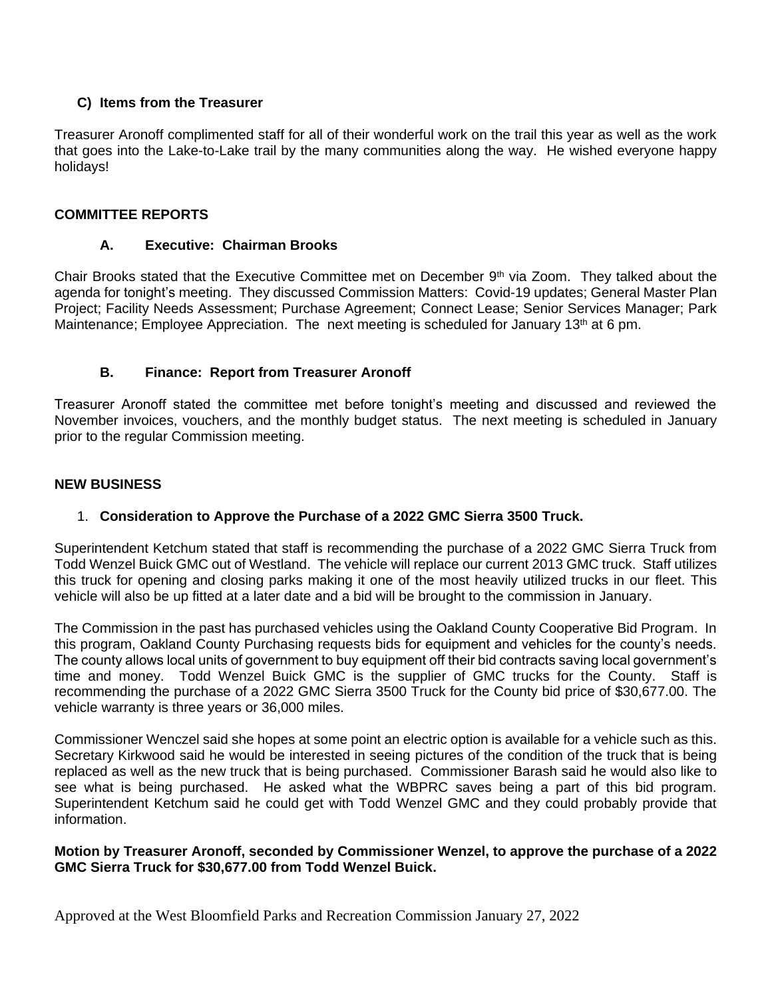# **C) Items from the Treasurer**

Treasurer Aronoff complimented staff for all of their wonderful work on the trail this year as well as the work that goes into the Lake-to-Lake trail by the many communities along the way. He wished everyone happy holidays!

# **COMMITTEE REPORTS**

## **A. Executive: Chairman Brooks**

Chair Brooks stated that the Executive Committee met on December 9<sup>th</sup> via Zoom. They talked about the agenda for tonight's meeting. They discussed Commission Matters: Covid-19 updates; General Master Plan Project; Facility Needs Assessment; Purchase Agreement; Connect Lease; Senior Services Manager; Park Maintenance; Employee Appreciation. The next meeting is scheduled for January 13<sup>th</sup> at 6 pm.

# **B. Finance: Report from Treasurer Aronoff**

Treasurer Aronoff stated the committee met before tonight's meeting and discussed and reviewed the November invoices, vouchers, and the monthly budget status. The next meeting is scheduled in January prior to the regular Commission meeting.

#### **NEW BUSINESS**

# 1. **Consideration to Approve the Purchase of a 2022 GMC Sierra 3500 Truck.**

Superintendent Ketchum stated that staff is recommending the purchase of a 2022 GMC Sierra Truck from Todd Wenzel Buick GMC out of Westland. The vehicle will replace our current 2013 GMC truck. Staff utilizes this truck for opening and closing parks making it one of the most heavily utilized trucks in our fleet. This vehicle will also be up fitted at a later date and a bid will be brought to the commission in January.

The Commission in the past has purchased vehicles using the Oakland County Cooperative Bid Program. In this program, Oakland County Purchasing requests bids for equipment and vehicles for the county's needs. The county allows local units of government to buy equipment off their bid contracts saving local government's time and money. Todd Wenzel Buick GMC is the supplier of GMC trucks for the County. Staff is recommending the purchase of a 2022 GMC Sierra 3500 Truck for the County bid price of \$30,677.00. The vehicle warranty is three years or 36,000 miles.

Commissioner Wenczel said she hopes at some point an electric option is available for a vehicle such as this. Secretary Kirkwood said he would be interested in seeing pictures of the condition of the truck that is being replaced as well as the new truck that is being purchased. Commissioner Barash said he would also like to see what is being purchased. He asked what the WBPRC saves being a part of this bid program. Superintendent Ketchum said he could get with Todd Wenzel GMC and they could probably provide that information.

## **Motion by Treasurer Aronoff, seconded by Commissioner Wenzel, to approve the purchase of a 2022 GMC Sierra Truck for \$30,677.00 from Todd Wenzel Buick.**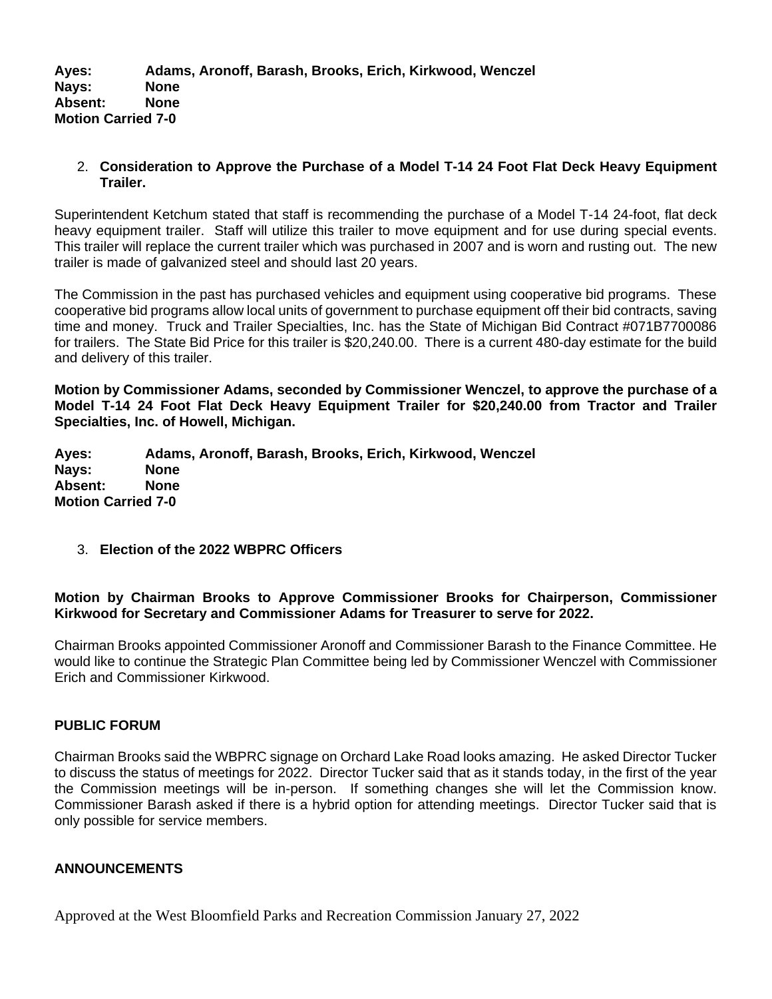# 2. **Consideration to Approve the Purchase of a Model T-14 24 Foot Flat Deck Heavy Equipment Trailer.**

Superintendent Ketchum stated that staff is recommending the purchase of a Model T-14 24-foot, flat deck heavy equipment trailer. Staff will utilize this trailer to move equipment and for use during special events. This trailer will replace the current trailer which was purchased in 2007 and is worn and rusting out. The new trailer is made of galvanized steel and should last 20 years.

The Commission in the past has purchased vehicles and equipment using cooperative bid programs. These cooperative bid programs allow local units of government to purchase equipment off their bid contracts, saving time and money. Truck and Trailer Specialties, Inc. has the State of Michigan Bid Contract #071B7700086 for trailers. The State Bid Price for this trailer is \$20,240.00. There is a current 480-day estimate for the build and delivery of this trailer.

**Motion by Commissioner Adams, seconded by Commissioner Wenczel, to approve the purchase of a Model T-14 24 Foot Flat Deck Heavy Equipment Trailer for \$20,240.00 from Tractor and Trailer Specialties, Inc. of Howell, Michigan.** 

**Ayes: Adams, Aronoff, Barash, Brooks, Erich, Kirkwood, Wenczel Nays: None Absent: None Motion Carried 7-0**

3. **Election of the 2022 WBPRC Officers** 

# **Motion by Chairman Brooks to Approve Commissioner Brooks for Chairperson, Commissioner Kirkwood for Secretary and Commissioner Adams for Treasurer to serve for 2022.**

Chairman Brooks appointed Commissioner Aronoff and Commissioner Barash to the Finance Committee. He would like to continue the Strategic Plan Committee being led by Commissioner Wenczel with Commissioner Erich and Commissioner Kirkwood.

# **PUBLIC FORUM**

Chairman Brooks said the WBPRC signage on Orchard Lake Road looks amazing. He asked Director Tucker to discuss the status of meetings for 2022. Director Tucker said that as it stands today, in the first of the year the Commission meetings will be in-person. If something changes she will let the Commission know. Commissioner Barash asked if there is a hybrid option for attending meetings. Director Tucker said that is only possible for service members.

# **ANNOUNCEMENTS**